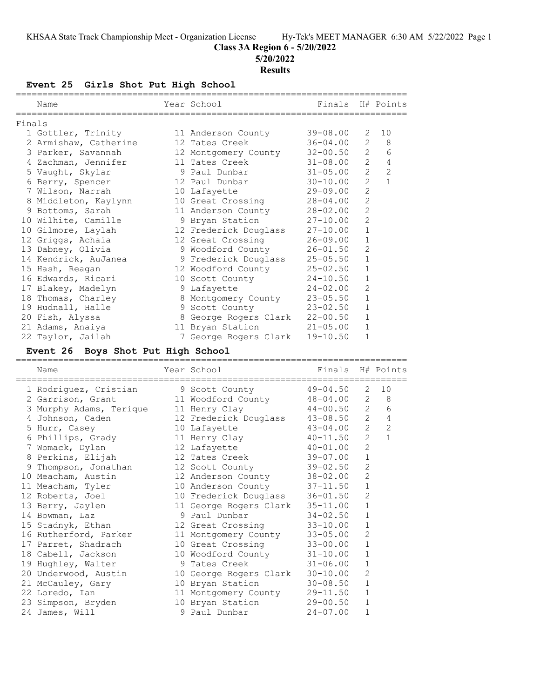## **Class 3A Region 6 - 5/20/2022**

**5/20/2022**

#### **Results**

**Event 25 Girls Shot Put High School**

|        | Name                  | Year School                | Finals H# Points |                |                |
|--------|-----------------------|----------------------------|------------------|----------------|----------------|
| Finals |                       |                            |                  |                |                |
|        | 1 Gottler, Trinity    | 11 Anderson County         | $39 - 08.00$     | 2              | 10             |
|        | 2 Armishaw, Catherine | 12 Tates Creek             | $36 - 04.00$     | 2              | 8              |
|        | 3 Parker, Savannah    | 12 Montgomery County       | $32 - 00.50$     | $\overline{2}$ | 6              |
|        | 4 Zachman, Jennifer   | 11 Tates Creek             | $31 - 08.00$     | $\overline{2}$ | $\overline{4}$ |
|        | 5 Vaught, Skylar      | 9 Paul Dunbar              | $31 - 05.00$     | $\overline{2}$ | $\overline{2}$ |
|        | 6 Berry, Spencer      | 12 Paul Dunbar             | $30 - 10.00$     | $\overline{2}$ | $\mathbf{1}$   |
|        | 7 Wilson, Narrah      | 10 Lafayette               | 29-09.00         | $\overline{c}$ |                |
|        | 8 Middleton, Kaylynn  | 10 Great Crossing 28-04.00 |                  | $\overline{c}$ |                |
|        | 9 Bottoms, Sarah      | 11 Anderson County         | 28-02.00         | $\overline{2}$ |                |
|        | 10 Wilhite, Camille   | 9 Bryan Station            | $27 - 10.00$     | $\overline{2}$ |                |
|        | 10 Gilmore, Laylah    | 12 Frederick Douglass      | $27 - 10.00$     | $\mathbf{1}$   |                |
|        | 12 Griggs, Achaia     | 12 Great Crossing          | $26 - 09.00$     | $\mathbf{1}$   |                |
|        | 13 Dabney, Olivia     | 9 Woodford County          | $26 - 01.50$     | $\overline{2}$ |                |
|        | 14 Kendrick, AuJanea  | 9 Frederick Douglass       | $25 - 05.50$     | $\mathbf{1}$   |                |
|        | 15 Hash, Reagan       | 12 Woodford County         | $25 - 02.50$     | $\mathbf{1}$   |                |
|        | 16 Edwards, Ricari    | 10 Scott County            | $24 - 10.50$     | $\mathbf{1}$   |                |
|        | 17 Blakey, Madelyn    | 9 Lafayette                | $24 - 02.00$     | $\overline{c}$ |                |
|        | 18 Thomas, Charley    | 8 Montgomery County        | $23 - 05.50$     | $\mathbf{1}$   |                |
|        | 19 Hudnall, Halle     | 9 Scott County             | $23 - 02.50$     | $\mathbf{1}$   |                |
|        | 20 Fish, Alyssa       | 8 George Rogers Clark      | $22 - 00.50$     | $\mathbf 1$    |                |
|        | 21 Adams, Anaiya      | 11 Bryan Station           | $21 - 05.00$     | $\mathbf{1}$   |                |
|        | 22 Taylor, Jailah     | 7 George Rogers Clark      | $19 - 10.50$     | $\mathbf{1}$   |                |

## **Event 26 Boys Shot Put High School**

| Name                                  | Year School                     | Finals H# Points |                |                |
|---------------------------------------|---------------------------------|------------------|----------------|----------------|
| 1 Rodriguez, Cristian 59 Scott County |                                 | $49 - 04.50$     | 2              | 10             |
| 2 Garrison, Grant                     | 11 Woodford County              | 48-04.00         | $\overline{2}$ | 8              |
| 3 Murphy Adams, Terique               | 11 Henry Clay 44-00.50          |                  | $2^{\circ}$    | 6              |
| 4 Johnson, Caden                      | 12 Frederick Douglass 43-08.50  |                  | $2^{\circ}$    | $\overline{4}$ |
| 5 Hurr, Casey                         | 10 Lafayette                    | $43 - 04.00$     | $2^{\circ}$    | $\mathbf{2}$   |
| 6 Phillips, Grady                     | 11 Henry Clay 40-11.50          |                  | $\overline{2}$ | $\mathbf{1}$   |
| 7 Womack, Dylan                       | 12 Lafayette                    | $40 - 01.00$     | $\mathbf{2}$   |                |
| 8 Perkins, Elijah                     | 12 Tates Creek 39-07.00         |                  | $1\,$          |                |
| 9 Thompson, Jonathan                  | 12 Scott County                 | 39-02.50         | $\mathbf{2}$   |                |
| 10 Meacham, Austin                    | 12 Anderson County              | 38-02.00         | $\overline{c}$ |                |
| 11 Meacham, Tyler                     | 10 Anderson County 37-11.50     |                  | $\mathbf{1}$   |                |
| 12 Roberts, Joel                      | 10 Frederick Douglass 36-01.50  |                  | $\overline{c}$ |                |
| 13 Berry, Jaylen                      | 11 George Rogers Clark 35-11.00 |                  | $\mathbf 1$    |                |
| 14 Bowman, Laz                        | 9 Paul Dunbar                   | 34-02.50         | $\mathbf{1}$   |                |
| 15 Stadnyk, Ethan                     | 12 Great Crossing               | $33 - 10.00$     | $\mathbf{1}$   |                |
| 16 Rutherford, Parker                 | 11 Montgomery County            | $33 - 05.00$     | 2              |                |
| 17 Parret, Shadrach                   | 10 Great Crossing               | $33 - 00.00$     | $\mathbf{1}$   |                |
| 18 Cabell, Jackson                    | 10 Woodford County              | $31 - 10.00$     | $\mathbf{1}$   |                |
| 19 Hughley, Walter                    | and 9 Tates Creek               | 31-06.00         | 1              |                |
| 20 Underwood, Austin                  | 10 George Rogers Clark 30-10.00 |                  | $\overline{2}$ |                |
| 21 McCauley, Gary                     | 10 Bryan Station                | $30 - 08.50$     | $\mathbf{1}$   |                |
| 22 Loredo, Ian                        | 11 Montgomery County            | 29-11.50         | $\mathbf 1$    |                |
| 23 Simpson, Bryden                    | 10 Bryan Station 29-00.50       |                  | $\mathbf 1$    |                |
| 24 James, Will                        | 9 Paul Dunbar                   | 24-07.00         | $\mathbf 1$    |                |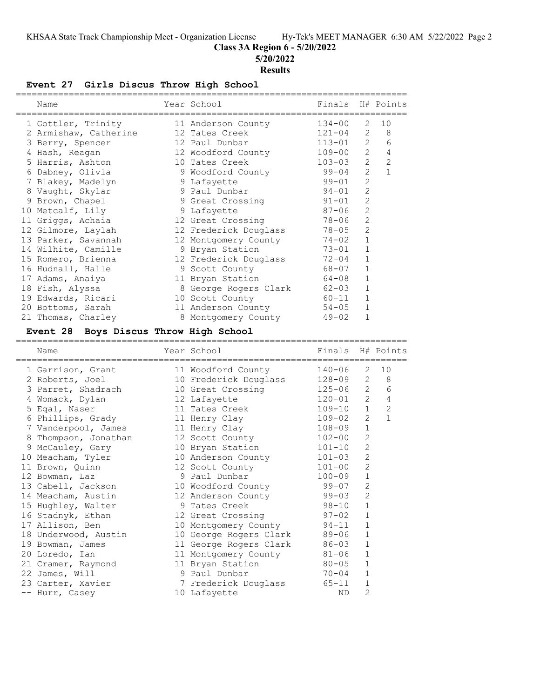**Class 3A Region 6 - 5/20/2022**

**5/20/2022**

#### **Results**

## **Event 27 Girls Discus Throw High School**

| Name                                                                          | Year School                                    | Finals     |                   | H# Points    |
|-------------------------------------------------------------------------------|------------------------------------------------|------------|-------------------|--------------|
| 1 Gottler, Trinity                                                            | 11 Anderson County                             | $134 - 00$ | 2                 | 10           |
| 2 Armishaw, Catherine                                                         | 12 Tates Creek                                 | 121-04     | $\mathbf{2}$      | 8            |
| 3 Berry, Spencer                                                              | 12 Paul Dunbar                                 | $113 - 01$ | $\mathbf{2}$      | 6            |
| 4 Hash, Reagan                                                                | 12 Woodford County                             | $109 - 00$ | $\overline{2}$    | 4            |
| 5 Harris, Ashton                                                              | 10 Tates Creek                                 | $103 - 03$ | $\overline{2}$    | 2            |
| 6 Dabney, Olivia                                                              | 9 Woodford County                              | 99-04      | 2                 | $\mathbf{1}$ |
| 7 Blakey, Madelyn                                                             | 9 Lafayette                                    | $99 - 01$  | $\overline{2}$    |              |
| 8 Vaught, Skylar                                                              | 9 Paul Dunbar                                  | $94 - 01$  | $\mathbf{2}$      |              |
| 9 Brown, Chapel                                                               | 9 Great Crossing                               | $91 - 01$  | $\overline{c}$    |              |
| 10 Metcalf, Lily                                                              |                                                | $87 - 06$  | $\overline{c}$    |              |
|                                                                               | 9 Lafayette<br>12 Great Crossing               | 78-06      | $\mathbf{2}$      |              |
| 11 Griggs, Achaia                                                             | 12 Frederick Douglass                          | $78 - 05$  | $\mathbf{2}$      |              |
| 12 Gilmore, Laylah                                                            |                                                | $74 - 02$  | $\mathbf{1}$      |              |
| 13 Parker, Savannah<br>14 Wilhite, Camille                                    | 12 Montgomery County                           | $73 - 01$  | $\mathbf{1}$      |              |
|                                                                               | 9 Bryan Station                                | $72 - 04$  | $1\,$             |              |
| 15 Romero, Brienna                                                            | 12 Frederick Douglass                          |            | $\mathbf{1}$      |              |
| 16 Hudnall, Halle                                                             | 9 Scott County                                 | 68-07      | 1                 |              |
| 17 Adams, Anaiya                                                              | 11 Bryan Station                               | 64-08      | 1                 |              |
| 18 Fish, Alyssa                                                               | 8 George Rogers Clark                          | $62 - 03$  |                   |              |
| 19 Edwards, Ricari                                                            | 10 Scott County                                | 60-11      | 1<br>$\mathbf{1}$ |              |
| 20 Bottoms, Sarah                                                             | 11 Anderson County                             | $54 - 05$  | $\mathbf{1}$      |              |
| 21 Thomas, Charley                                                            | 8 Montgomery County                            | $49 - 02$  |                   |              |
| Event 28 Boys Discus Throw High School<br>___________________________________ | ___________________________________            |            |                   |              |
|                                                                               |                                                |            |                   |              |
| Name                                                                          | Year School                                    | Finals     |                   | H# Points    |
| :======================<br>1 Garrison, Grant                                  | =============<br>11 Woodford County            | $140 - 06$ | 2                 | 10           |
| 2 Roberts, Joel                                                               | 10 Frederick Douglass                          | 128-09     | $\overline{2}$    | 8            |
| 3 Parret, Shadrach                                                            | 10 Great Crossing                              | $125 - 06$ | $\overline{2}$    | 6            |
| 4 Womack, Dylan                                                               | 12 Lafayette                                   | $120 - 01$ | $\overline{2}$    | 4            |
| 5 Eqal, Naser                                                                 | 11 Tates Creek                                 | $109 - 10$ | $\mathbf{1}$      | 2            |
| 6 Phillips, Grady                                                             | 11 Henry Clay                                  | $109 - 02$ | $\overline{c}$    | $\mathbf{1}$ |
| 7 Vanderpool, James                                                           | 11 Henry Clay                                  | 108-09     | $\mathbf 1$       |              |
|                                                                               | 12 Scott County                                | $102 - 00$ | 2                 |              |
| 8 Thompson, Jonathan<br>9 McCauley, Gary                                      | 10 Bryan Station                               | $101 - 10$ | $\mathbf{2}$      |              |
| 10 Meacham, Tyler                                                             | 10 Anderson County                             | $101 - 03$ | $\mathbf{2}$      |              |
| 11 Brown, Quinn                                                               | 12 Scott County                                | $101 - 00$ | $\overline{2}$    |              |
| 12 Bowman, Laz                                                                | 9 Paul Dunbar                                  | $100 - 09$ | $1\,$             |              |
|                                                                               |                                                | $99 - 07$  | $\mathbf{2}$      |              |
| 13 Cabell, Jackson<br>14 Meacham, Austin                                      | 10 Woodford County<br>12 Anderson County       | 99-03      | 2                 |              |
| 15 Hughley, Walter                                                            | 9 Tates Creek                                  | $98 - 10$  | 1                 |              |
| 16 Stadnyk, Ethan                                                             | 12 Great Crossing                              | $97 - 02$  | $\mathbf 1$       |              |
|                                                                               |                                                | $94 - 11$  | 1                 |              |
| 17 Allison, Ben<br>18 Underwood, Austin                                       | 10 Montgomery County<br>10 George Rogers Clark | $89 - 06$  | $\mathbf 1$       |              |
| 19 Bowman, James                                                              | 11 George Rogers Clark                         | $86 - 03$  | $\mathbf 1$       |              |
| 20 Loredo, Ian                                                                | 11 Montgomery County                           | $81 - 06$  | $\mathbf 1$       |              |
| 21 Cramer, Raymond                                                            | 11 Bryan Station                               | $80 - 05$  | $\mathbf 1$       |              |
| 22 James, Will                                                                | 9 Paul Dunbar                                  | $70 - 04$  | $\mathbf 1$       |              |
| 23 Carter, Xavier                                                             | 7 Frederick Douglass                           | $65 - 11$  | 1                 |              |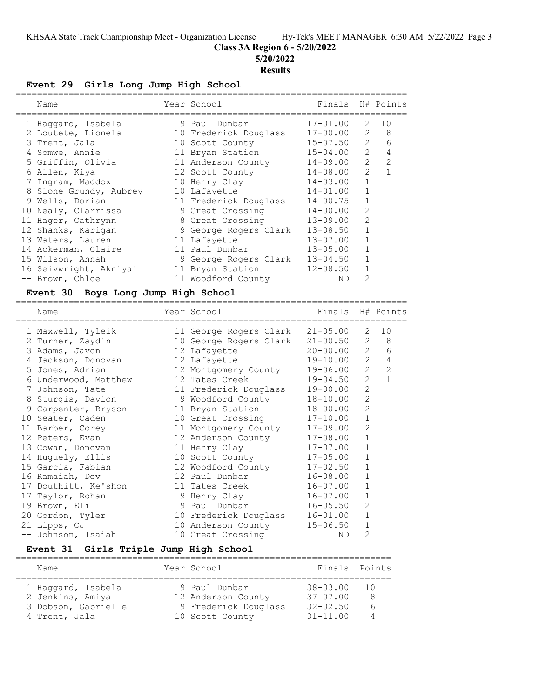#### **Class 3A Region 6 - 5/20/2022**

**5/20/2022**

#### **Results**

#### **Event 29 Girls Long Jump High School**

| Name                   |                |                                                                                                                                                                                                                                                                                                                                              |                       |                                                                  |
|------------------------|----------------|----------------------------------------------------------------------------------------------------------------------------------------------------------------------------------------------------------------------------------------------------------------------------------------------------------------------------------------------|-----------------------|------------------------------------------------------------------|
| 1 Haqqard, Isabela     |                |                                                                                                                                                                                                                                                                                                                                              | 2                     | 10                                                               |
| 2 Loutete, Lionela     |                |                                                                                                                                                                                                                                                                                                                                              | 2                     | - 8                                                              |
| 3 Trent, Jala          |                |                                                                                                                                                                                                                                                                                                                                              | $\overline{2}$        | 6                                                                |
|                        |                | $15 - 04.00$                                                                                                                                                                                                                                                                                                                                 | $\mathcal{L}$         | 4                                                                |
| 5 Griffin, Olivia      |                | $14 - 09.00$                                                                                                                                                                                                                                                                                                                                 | $\mathcal{L}$         | $\mathcal{L}$                                                    |
| 6 Allen, Kiya          |                | $14 - 08.00$                                                                                                                                                                                                                                                                                                                                 | $\mathcal{L}$         |                                                                  |
| 7 Ingram, Maddox       |                | $14 - 03.00$                                                                                                                                                                                                                                                                                                                                 |                       |                                                                  |
| 8 Slone Grundy, Aubrey |                | $14 - 01.00$                                                                                                                                                                                                                                                                                                                                 |                       |                                                                  |
| 9 Wells, Dorian        |                | $14 - 00.75$                                                                                                                                                                                                                                                                                                                                 |                       |                                                                  |
| 10 Nealy, Clarrissa    |                | $14 - 00.00$                                                                                                                                                                                                                                                                                                                                 | $\mathfrak{D}$        |                                                                  |
| 11 Hager, Cathrynn     |                | $13 - 09.00$                                                                                                                                                                                                                                                                                                                                 | 2                     |                                                                  |
| 12 Shanks, Karigan     |                | $13 - 08.50$                                                                                                                                                                                                                                                                                                                                 |                       |                                                                  |
| 13 Waters, Lauren      |                | $13 - 07.00$                                                                                                                                                                                                                                                                                                                                 |                       |                                                                  |
| 14 Ackerman, Claire    |                | $13 - 05.00$                                                                                                                                                                                                                                                                                                                                 |                       |                                                                  |
| 15 Wilson, Annah       |                | $13 - 04.50$                                                                                                                                                                                                                                                                                                                                 |                       |                                                                  |
| 16 Seivwright, Akniyai |                | $12 - 08.50$                                                                                                                                                                                                                                                                                                                                 |                       |                                                                  |
| -- Brown, Chloe        |                | ND                                                                                                                                                                                                                                                                                                                                           | 2                     |                                                                  |
|                        | 4 Somwe, Annie | Year School<br>9 Paul Dunbar<br>10 Frederick Douglass<br>10 Scott County<br>11 Bryan Station<br>11 Anderson County<br>12 Scott County<br>10 Henry Clay<br>10 Lafayette<br>11 Frederick Douglass<br>9 Great Crossing<br>8 Great Crossing<br>9 George Rogers Clark<br>11 Lafayette<br>11 Paul Dunbar<br>11 Bryan Station<br>11 Woodford County | 9 George Rogers Clark | Finals H# Points<br>$17 - 01.00$<br>$17 - 00.00$<br>$15 - 07.50$ |

#### **Event 30 Boys Long Jump High School**

==========================================================================

| Name                 | Year School            | Finals       |                | H# Points      |
|----------------------|------------------------|--------------|----------------|----------------|
| 1 Maxwell, Tyleik    | 11 George Rogers Clark | $21 - 05.00$ | 2              | 10             |
| 2 Turner, Zaydin     | 10 George Rogers Clark | $21 - 00.50$ | 2              | 8              |
| 3 Adams, Javon       | 12 Lafayette           | $20 - 00.00$ | 2              | 6              |
| 4 Jackson, Donovan   | 12 Lafayette           | 19-10.00     | 2              | $\overline{4}$ |
| 5 Jones, Adrian      | 12 Montgomery County   | 19-06.00     | $\mathbf{2}$   | 2              |
| 6 Underwood, Matthew | 12 Tates Creek         | $19 - 04.50$ | $\overline{2}$ | $\mathbf{1}$   |
| 7 Johnson, Tate      | 11 Frederick Douglass  | $19 - 00.00$ | $\overline{2}$ |                |
| 8 Sturgis, Davion    | 9 Woodford County      | $18 - 10.00$ | $\overline{2}$ |                |
| 9 Carpenter, Bryson  | 11 Bryan Station       | $18 - 00.00$ | $\overline{2}$ |                |
| 10 Seater, Caden     | 10 Great Crossing      | $17 - 10.00$ | 1              |                |
| 11 Barber, Corey     | 11 Montgomery County   | $17 - 09.00$ | 2              |                |
| 12 Peters, Evan      | 12 Anderson County     | $17 - 08.00$ | 1              |                |
| 13 Cowan, Donovan    | 11 Henry Clay          | $17 - 07.00$ | 1              |                |
| 14 Huquely, Ellis    | 10 Scott County        | $17 - 05.00$ | $\mathbf 1$    |                |
| 15 Garcia, Fabian    | 12 Woodford County     | $17 - 02.50$ | 1              |                |
| 16 Ramaiah, Dev      | 12 Paul Dunbar         | $16 - 08.00$ | $\mathbf 1$    |                |
| 17 Douthitt, Ke'shon | 11 Tates Creek         | $16 - 07.00$ | 1              |                |
| 17 Taylor, Rohan     | 9 Henry Clay           | $16 - 07.00$ | 1              |                |
| 19 Brown, Eli        | 9 Paul Dunbar          | $16 - 05.50$ | $\overline{2}$ |                |
| 20 Gordon, Tyler     | 10 Frederick Douglass  | $16 - 01.00$ | $\mathbf{1}$   |                |
| 21 Lipps, CJ         | 10 Anderson County     | $15 - 06.50$ | 1              |                |
| -- Johnson, Isaiah   | 10 Great Crossing      | ND.          | 2              |                |

#### **Event 31 Girls Triple Jump High School**

| Name                | Year School          | Finals Points |    |
|---------------------|----------------------|---------------|----|
| 1 Haqqard, Isabela  | 9 Paul Dunbar        | $38 - 03.00$  | 10 |
| 2 Jenkins, Amiya    | 12 Anderson County   | $37 - 07.00$  | 8  |
| 3 Dobson, Gabrielle | 9 Frederick Douglass | $32 - 02.50$  | h  |
| 4 Trent, Jala       | 10 Scott County      | $31 - 11.00$  |    |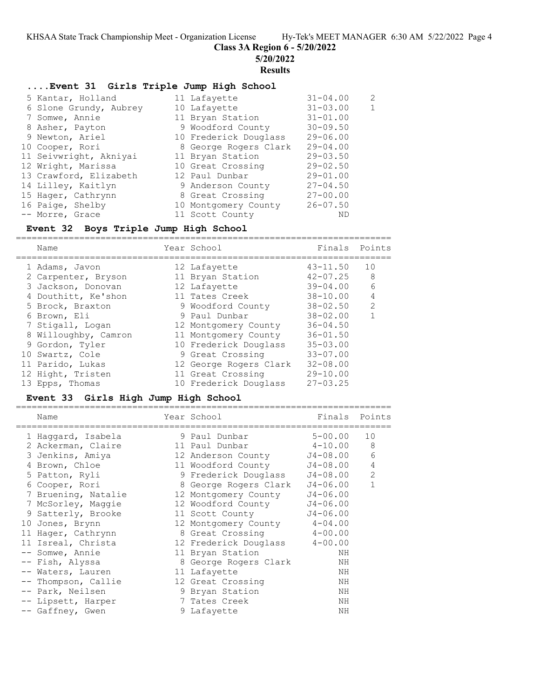**Class 3A Region 6 - 5/20/2022**

**5/20/2022**

#### **Results**

### **....Event 31 Girls Triple Jump High School**

 5 Kantar, Holland 11 Lafayette 31-04.00 2 7 Somwe, Annie 8 Asher, Payton 9 Newton, Ariel 10 Cooper, Rori 11 Seivwright, Akniyai 12 Wright, Marissa 13 Crawford, Elizabeth -- Morre, Grace 11 Scott County ND

| 6 Slone Grundy, Aubrey | 10 Lafayette          | $31 - 03.00$ | $\mathbf{1}$ |
|------------------------|-----------------------|--------------|--------------|
| 7 Somwe, Annie         | 11 Bryan Station      | $31 - 01.00$ |              |
| 8 Asher, Payton        | 9 Woodford County     | $30 - 09.50$ |              |
| 9 Newton, Ariel        | 10 Frederick Douglass | $29 - 06.00$ |              |
| 10 Cooper, Rori        | 8 George Rogers Clark | $29 - 04.00$ |              |
| 11 Seivwright, Akniyai | 11 Bryan Station      | $29 - 03.50$ |              |
| 12 Wright, Marissa     | 10 Great Crossing     | $29 - 02.50$ |              |
| 13 Crawford, Elizabeth | 12 Paul Dunbar        | $29 - 01.00$ |              |
| 14 Lilley, Kaitlyn     | 9 Anderson County     | $27 - 04.50$ |              |
| 15 Hager, Cathrynn     | 8 Great Crossing      | $27 - 00.00$ |              |
| 16 Paige, Shelby       | 10 Montgomery County  | $26 - 07.50$ |              |
|                        |                       |              |              |

#### **Event 32 Boys Triple Jump High School**

| Name                 | Year School            | Finals Points |               |
|----------------------|------------------------|---------------|---------------|
| 1 Adams, Javon       | 12 Lafayette           | $43 - 11.50$  | 10            |
| 2 Carpenter, Bryson  | 11 Bryan Station       | $42 - 07.25$  | 8             |
| 3 Jackson, Donovan   | 12 Lafayette           | $39 - 04.00$  | 6             |
| 4 Douthitt, Ke'shon  | 11 Tates Creek         | $38 - 10.00$  | 4             |
| 5 Brock, Braxton     | 9 Woodford County      | $38 - 02.50$  | $\mathcal{L}$ |
| 6 Brown, Eli         | 9 Paul Dunbar          | $38 - 02.00$  |               |
| 7 Stigall, Logan     | 12 Montgomery County   | $36 - 04.50$  |               |
| 8 Willoughby, Camron | 11 Montgomery County   | $36 - 01.50$  |               |
| 9 Gordon, Tyler      | 10 Frederick Douglass  | $35 - 03.00$  |               |
| 10 Swartz, Cole      | 9 Great Crossing       | $33 - 07.00$  |               |
| 11 Parido, Lukas     | 12 George Rogers Clark | $32 - 08.00$  |               |
| 12 Hight, Tristen    | 11 Great Crossing      | $29 - 10.00$  |               |
| 13 Epps, Thomas      | 10 Frederick Douglass  | $27 - 03.25$  |               |

# **Event 33 Girls High Jump High School**

| Name                | Year School                   | Finals Points |                |
|---------------------|-------------------------------|---------------|----------------|
| 1 Haqqard, Isabela  | 9 Paul Dunbar                 | $5 - 00.00$   | 10             |
| 2 Ackerman, Claire  | 11 Paul Dunbar                | 4-10.00       | 8              |
| 3 Jenkins, Amiya    | 12 Anderson County            | J4-08.00      | 6              |
| 4 Brown, Chloe      | 11 Woodford County            | J4-08.00      | $\overline{4}$ |
| 5 Patton, Ryli      | 9 Frederick Douglass          | J4-08.00      | 2              |
| 6 Cooper, Rori      | 8 George Rogers Clark         | $J4 - 06.00$  | $\mathbf{1}$   |
| 7 Bruening, Natalie | 12 Montgomery County          | $J4 - 06.00$  |                |
| 7 McSorley, Maggie  | 12 Woodford County            | $J4 - 06.00$  |                |
| 9 Satterly, Brooke  | 11 Scott County               | $J4 - 06.00$  |                |
| 10 Jones, Brynn     | 12 Montgomery County 4-04.00  |               |                |
| 11 Hager, Cathrynn  | 8 Great Crossing              | $4 - 00.00$   |                |
| 11 Isreal, Christa  | 12 Frederick Douglass 4-00.00 |               |                |
| -- Somwe, Annie     | 11 Bryan Station              | ΝH            |                |
| -- Fish, Alyssa     | 8 George Rogers Clark         | NH            |                |
| -- Waters, Lauren   | 11 Lafayette                  | ΝH            |                |
| -- Thompson, Callie | 12 Great Crossing             | NH            |                |
| -- Park, Neilsen    | 9 Bryan Station               | ΝH            |                |
| -- Lipsett, Harper  | 7 Tates Creek                 | NH            |                |
| -- Gaffney, Gwen    | 9 Lafayette                   | ΝH            |                |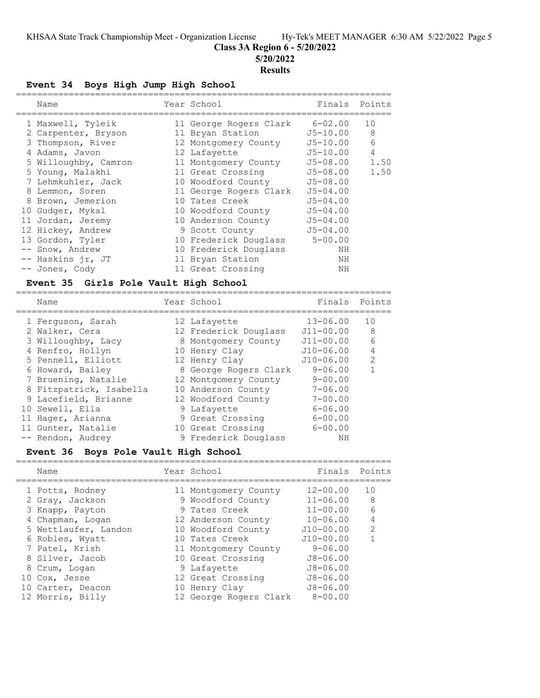**Class 3A Region 6 - 5/20/2022**

**5/20/2022**

#### **Results**

**Event 34 Boys High Jump High School**

|   | Name                 | Year School            | Finals       | Points |
|---|----------------------|------------------------|--------------|--------|
|   | 1 Maxwell, Tyleik    | 11 George Rogers Clark | 6-02.00      | 10     |
|   | 2 Carpenter, Bryson  | 11 Bryan Station       | $J5 - 10.00$ | 8      |
|   | 3 Thompson, River    | 12 Montgomery County   | $J5 - 10.00$ | 6      |
|   | 4 Adams, Javon       | 12 Lafayette           | $J5 - 10.00$ | 4      |
|   | 5 Willoughby, Camron | 11 Montgomery County   | J5-08.00     | 1.50   |
|   | 5 Young, Malakhi     | 11 Great Crossing      | J5-08.00     | 1.50   |
|   | 7 Lehmkuhler, Jack   | 10 Woodford County     | $J5 - 08.00$ |        |
| 8 | Lemmon, Soren        | 11 George Rogers Clark | $J5 - 04.00$ |        |
| 8 | Brown, Jemerion      | 10 Tates Creek         | $J5 - 04.00$ |        |
|   | 10 Gudger, Mykal     | 10 Woodford County     | $J5 - 04.00$ |        |
|   | 11 Jordan, Jeremy    | 10 Anderson County     | $J5 - 04.00$ |        |
|   | 12 Hickey, Andrew    | 9 Scott County         | $J5 - 04.00$ |        |
|   | 13 Gordon, Tyler     | 10 Frederick Douglass  | $5 - 00.00$  |        |
|   | -- Snow, Andrew      | 10 Frederick Douglass  | NΗ           |        |
|   | -- Haskins jr, JT    | 11 Bryan Station       | ΝH           |        |
|   | -- Jones, Cody       | 11 Great Crossing      | ΝH           |        |
|   |                      |                        |              |        |

#### **Event 35 Girls Pole Vault High School** =======================================================================

| Name                    | Year School           | Finals        | Points         |
|-------------------------|-----------------------|---------------|----------------|
| 1 Ferquson, Sarah       | 12 Lafayette          | $13 - 06.00$  | 10             |
| 2 Walker, Cera          | 12 Frederick Douglass | $J11 - 00.00$ | 8              |
| 3 Willoughby, Lacy      | 8 Montgomery County   | $J11 - 00.00$ | 6              |
| 4 Renfro, Hollyn        | 10 Henry Clay         | $J10 - 06.00$ | $\overline{4}$ |
| 5 Pennell, Elliott      | 12 Henry Clay         | $J10-06.00$   | $\mathcal{L}$  |
| 6 Howard, Bailey        | 8 George Rogers Clark | $9 - 06.00$   |                |
| 7 Bruening, Natalie     | 12 Montgomery County  | $9 - 00.00$   |                |
| 8 Fitzpatrick, Isabella | 10 Anderson County    | $7 - 06.00$   |                |
| 9 Lacefield, Brianne    | 12 Woodford County    | $7 - 00.00$   |                |
| 10 Sewell, Ella         | 9 Lafayette           | $6 - 06.00$   |                |
| 11 Hager, Arianna       | 9 Great Crossing      | $6 - 00.00$   |                |
| 11 Gunter, Natalie      | 10 Great Crossing     | $6 - 00.00$   |                |
| -- Rendon, Audrey       | 9 Frederick Douglass  | NΗ            |                |

#### **Event 36 Boys Pole Vault High School**

|  | Name                 | Year School            | Finals        | Points        |
|--|----------------------|------------------------|---------------|---------------|
|  | 1 Potts, Rodney      | 11 Montgomery County   | $12 - 00.00$  | 10            |
|  | 2 Gray, Jackson      | 9 Woodford County      | $11 - 06.00$  | 8             |
|  | 3 Knapp, Payton      | 9 Tates Creek          | $11 - 00.00$  | 6             |
|  | 4 Chapman, Logan     | 12 Anderson County     | $10 - 06.00$  | 4             |
|  | 5 Wettlaufer, Landon | 10 Woodford County     | $J10 - 00.00$ | $\mathcal{P}$ |
|  | 6 Robles, Wyatt      | 10 Tates Creek         | $J10 - 00.00$ |               |
|  | 7 Patel, Krish       | 11 Montgomery County   | $9 - 06.00$   |               |
|  | 8 Silver, Jacob      | 10 Great Crossing      | $J8 - 06.00$  |               |
|  | 8 Crum, Logan        | 9 Lafayette            | $J8 - 06.00$  |               |
|  | 10 Cox, Jesse        | 12 Great Crossing      | $J8 - 06.00$  |               |
|  | 10 Carter, Deacon    | 10 Henry Clay          | $J8 - 06.00$  |               |
|  | 12 Morris, Billy     | 12 George Rogers Clark | $8 - 00.00$   |               |
|  |                      |                        |               |               |